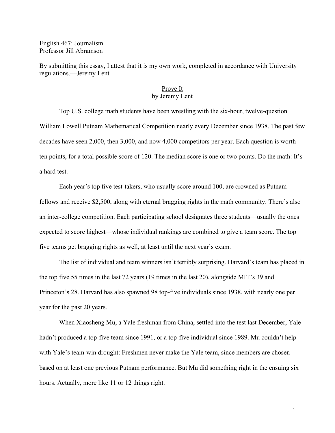English 467: Journalism Professor Jill Abramson

By submitting this essay, I attest that it is my own work, completed in accordance with University regulations.—Jeremy Lent

## Prove It by Jeremy Lent

 Top U.S. college math students have been wrestling with the six-hour, twelve-question William Lowell Putnam Mathematical Competition nearly every December since 1938. The past few decades have seen 2,000, then 3,000, and now 4,000 competitors per year. Each question is worth ten points, for a total possible score of 120. The median score is one or two points. Do the math: It's a hard test.

 Each year's top five test-takers, who usually score around 100, are crowned as Putnam fellows and receive \$2,500, along with eternal bragging rights in the math community. There's also an inter-college competition. Each participating school designates three students—usually the ones expected to score highest—whose individual rankings are combined to give a team score. The top five teams get bragging rights as well, at least until the next year's exam.

 The list of individual and team winners isn't terribly surprising. Harvard's team has placed in the top five 55 times in the last 72 years (19 times in the last 20), alongside MIT's 39 and Princeton's 28. Harvard has also spawned 98 top-five individuals since 1938, with nearly one per year for the past 20 years.

 When Xiaosheng Mu, a Yale freshman from China, settled into the test last December, Yale hadn't produced a top-five team since 1991, or a top-five individual since 1989. Mu couldn't help with Yale's team-win drought: Freshmen never make the Yale team, since members are chosen based on at least one previous Putnam performance. But Mu did something right in the ensuing six hours. Actually, more like 11 or 12 things right.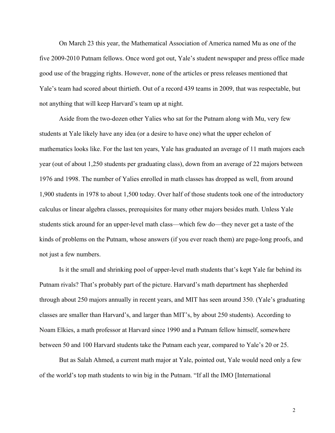On March 23 this year, the Mathematical Association of America named Mu as one of the five 2009-2010 Putnam fellows. Once word got out, Yale's student newspaper and press office made good use of the bragging rights. However, none of the articles or press releases mentioned that Yale's team had scored about thirtieth. Out of a record 439 teams in 2009, that was respectable, but not anything that will keep Harvard's team up at night.

 Aside from the two-dozen other Yalies who sat for the Putnam along with Mu, very few students at Yale likely have any idea (or a desire to have one) what the upper echelon of mathematics looks like. For the last ten years, Yale has graduated an average of 11 math majors each year (out of about 1,250 students per graduating class), down from an average of 22 majors between 1976 and 1998. The number of Yalies enrolled in math classes has dropped as well, from around 1,900 students in 1978 to about 1,500 today. Over half of those students took one of the introductory calculus or linear algebra classes, prerequisites for many other majors besides math. Unless Yale students stick around for an upper-level math class—which few do—they never get a taste of the kinds of problems on the Putnam, whose answers (if you ever reach them) are page-long proofs, and not just a few numbers.

 Is it the small and shrinking pool of upper-level math students that's kept Yale far behind its Putnam rivals? That's probably part of the picture. Harvard's math department has shepherded through about 250 majors annually in recent years, and MIT has seen around 350. (Yale's graduating classes are smaller than Harvard's, and larger than MIT's, by about 250 students). According to Noam Elkies, a math professor at Harvard since 1990 and a Putnam fellow himself, somewhere between 50 and 100 Harvard students take the Putnam each year, compared to Yale's 20 or 25.

 But as Salah Ahmed, a current math major at Yale, pointed out, Yale would need only a few of the world's top math students to win big in the Putnam. "If all the IMO [International

 $\overline{2}$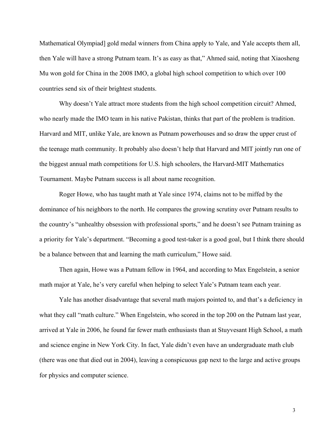Mathematical Olympiad] gold medal winners from China apply to Yale, and Yale accepts them all, then Yale will have a strong Putnam team. It's as easy as that," Ahmed said, noting that Xiaosheng Mu won gold for China in the 2008 IMO, a global high school competition to which over 100 countries send six of their brightest students.

 Why doesn't Yale attract more students from the high school competition circuit? Ahmed, who nearly made the IMO team in his native Pakistan, thinks that part of the problem is tradition. Harvard and MIT, unlike Yale, are known as Putnam powerhouses and so draw the upper crust of the teenage math community. It probably also doesn't help that Harvard and MIT jointly run one of the biggest annual math competitions for U.S. high schoolers, the Harvard-MIT Mathematics Tournament. Maybe Putnam success is all about name recognition.

 Roger Howe, who has taught math at Yale since 1974, claims not to be miffed by the dominance of his neighbors to the north. He compares the growing scrutiny over Putnam results to the country's "unhealthy obsession with professional sports," and he doesn't see Putnam training as a priority for Yale's department. "Becoming a good test-taker is a good goal, but I think there should be a balance between that and learning the math curriculum," Howe said.

 Then again, Howe was a Putnam fellow in 1964, and according to Max Engelstein, a senior math major at Yale, he's very careful when helping to select Yale's Putnam team each year.

 Yale has another disadvantage that several math majors pointed to, and that's a deficiency in what they call "math culture." When Engelstein, who scored in the top 200 on the Putnam last year, arrived at Yale in 2006, he found far fewer math enthusiasts than at Stuyvesant High School, a math and science engine in New York City. In fact, Yale didn't even have an undergraduate math club (there was one that died out in 2004), leaving a conspicuous gap next to the large and active groups for physics and computer science.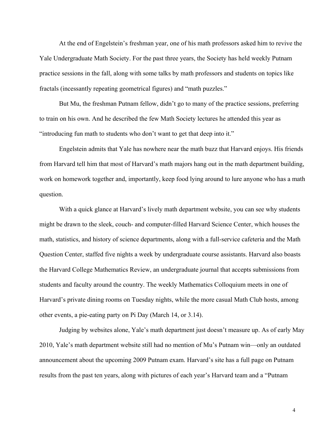At the end of Engelstein's freshman year, one of his math professors asked him to revive the Yale Undergraduate Math Society. For the past three years, the Society has held weekly Putnam practice sessions in the fall, along with some talks by math professors and students on topics like fractals (incessantly repeating geometrical figures) and "math puzzles."

 But Mu, the freshman Putnam fellow, didn't go to many of the practice sessions, preferring to train on his own. And he described the few Math Society lectures he attended this year as "introducing fun math to students who don't want to get that deep into it."

 Engelstein admits that Yale has nowhere near the math buzz that Harvard enjoys. His friends from Harvard tell him that most of Harvard's math majors hang out in the math department building, work on homework together and, importantly, keep food lying around to lure anyone who has a math question.

 With a quick glance at Harvard's lively math department website, you can see why students might be drawn to the sleek, couch- and computer-filled Harvard Science Center, which houses the math, statistics, and history of science departments, along with a full-service cafeteria and the Math Question Center, staffed five nights a week by undergraduate course assistants. Harvard also boasts the Harvard College Mathematics Review, an undergraduate journal that accepts submissions from students and faculty around the country. The weekly Mathematics Colloquium meets in one of Harvard's private dining rooms on Tuesday nights, while the more casual Math Club hosts, among other events, a pie-eating party on Pi Day (March 14, or 3.14).

 Judging by websites alone, Yale's math department just doesn't measure up. As of early May 2010, Yale's math department website still had no mention of Mu's Putnam win—only an outdated announcement about the upcoming 2009 Putnam exam. Harvard's site has a full page on Putnam results from the past ten years, along with pictures of each year's Harvard team and a "Putnam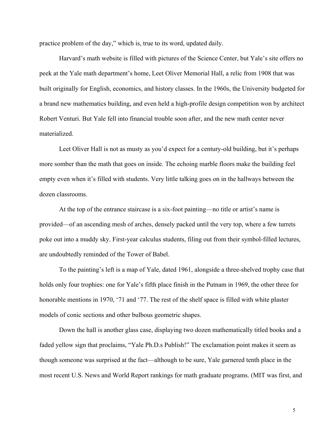practice problem of the day," which is, true to its word, updated daily.

 Harvard's math website is filled with pictures of the Science Center, but Yale's site offers no peek at the Yale math department's home, Leet Oliver Memorial Hall, a relic from 1908 that was built originally for English, economics, and history classes. In the 1960s, the University budgeted for a brand new mathematics building, and even held a high-profile design competition won by architect Robert Venturi. But Yale fell into financial trouble soon after, and the new math center never materialized.

 Leet Oliver Hall is not as musty as you'd expect for a century-old building, but it's perhaps more somber than the math that goes on inside. The echoing marble floors make the building feel empty even when it's filled with students. Very little talking goes on in the hallways between the dozen classrooms.

 At the top of the entrance staircase is a six-foot painting—no title or artist's name is provided—of an ascending mesh of arches, densely packed until the very top, where a few turrets poke out into a muddy sky. First-year calculus students, filing out from their symbol-filled lectures, are undoubtedly reminded of the Tower of Babel.

 To the painting's left is a map of Yale, dated 1961, alongside a three-shelved trophy case that holds only four trophies: one for Yale's fifth place finish in the Putnam in 1969, the other three for honorable mentions in 1970, '71 and '77. The rest of the shelf space is filled with white plaster models of conic sections and other bulbous geometric shapes.

 Down the hall is another glass case, displaying two dozen mathematically titled books and a faded yellow sign that proclaims, "Yale Ph.D.s Publish!" The exclamation point makes it seem as though someone was surprised at the fact—although to be sure, Yale garnered tenth place in the most recent U.S. News and World Report rankings for math graduate programs. (MIT was first, and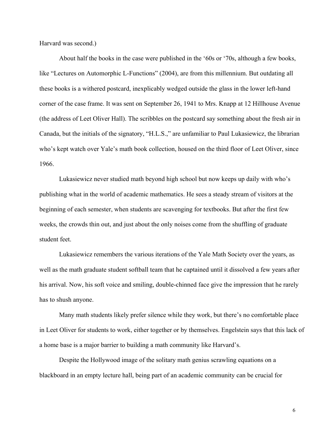Harvard was second.)

 About half the books in the case were published in the '60s or '70s, although a few books, like "Lectures on Automorphic L-Functions" (2004), are from this millennium. But outdating all these books is a withered postcard, inexplicably wedged outside the glass in the lower left-hand corner of the case frame. It was sent on September 26, 1941 to Mrs. Knapp at 12 Hillhouse Avenue (the address of Leet Oliver Hall). The scribbles on the postcard say something about the fresh air in Canada, but the initials of the signatory, "H.L.S.," are unfamiliar to Paul Lukasiewicz, the librarian who's kept watch over Yale's math book collection, housed on the third floor of Leet Oliver, since 1966.

 Lukasiewicz never studied math beyond high school but now keeps up daily with who's publishing what in the world of academic mathematics. He sees a steady stream of visitors at the beginning of each semester, when students are scavenging for textbooks. But after the first few weeks, the crowds thin out, and just about the only noises come from the shuffling of graduate student feet.

 Lukasiewicz remembers the various iterations of the Yale Math Society over the years, as well as the math graduate student softball team that he captained until it dissolved a few years after his arrival. Now, his soft voice and smiling, double-chinned face give the impression that he rarely has to shush anyone.

 Many math students likely prefer silence while they work, but there's no comfortable place in Leet Oliver for students to work, either together or by themselves. Engelstein says that this lack of a home base is a major barrier to building a math community like Harvard's.

 Despite the Hollywood image of the solitary math genius scrawling equations on a blackboard in an empty lecture hall, being part of an academic community can be crucial for

 $\sim$  6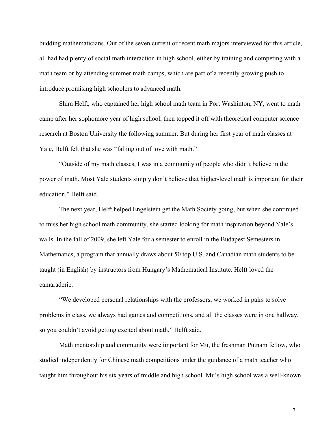budding mathematicians. Out of the seven current or recent math majors interviewed for this article, all had had plenty of social math interaction in high school, either by training and competing with a math team or by attending summer math camps, which are part of a recently growing push to introduce promising high schoolers to advanced math.

 Shira Helft, who captained her high school math team in Port Washinton, NY, went to math camp after her sophomore year of high school, then topped it off with theoretical computer science research at Boston University the following summer. But during her first year of math classes at Yale, Helft felt that she was "falling out of love with math."

 "Outside of my math classes, I was in a community of people who didn't believe in the power of math. Most Yale students simply don't believe that higher-level math is important for their education," Helft said.

 The next year, Helft helped Engelstein get the Math Society going, but when she continued to miss her high school math community, she started looking for math inspiration beyond Yale's walls. In the fall of 2009, she left Yale for a semester to enroll in the Budapest Semesters in Mathematics, a program that annually draws about 50 top U.S. and Canadian math students to be taught (in English) by instructors from Hungary's Mathematical Institute. Helft loved the camaraderie.

 "We developed personal relationships with the professors, we worked in pairs to solve problems in class, we always had games and competitions, and all the classes were in one hallway, so you couldn't avoid getting excited about math," Helft said.

 Math mentorship and community were important for Mu, the freshman Putnam fellow, who studied independently for Chinese math competitions under the guidance of a math teacher who taught him throughout his six years of middle and high school. Mu's high school was a well-known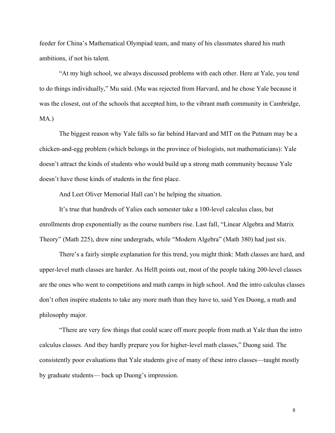feeder for China's Mathematical Olympiad team, and many of his classmates shared his math ambitions, if not his talent.

 "At my high school, we always discussed problems with each other. Here at Yale, you tend to do things individually," Mu said. (Mu was rejected from Harvard, and he chose Yale because it was the closest, out of the schools that accepted him, to the vibrant math community in Cambridge, MA.)

 The biggest reason why Yale falls so far behind Harvard and MIT on the Putnam may be a chicken-and-egg problem (which belongs in the province of biologists, not mathematicians): Yale doesn't attract the kinds of students who would build up a strong math community because Yale doesn't have those kinds of students in the first place.

And Leet Oliver Memorial Hall can't be helping the situation.

 It's true that hundreds of Yalies each semester take a 100-level calculus class, but enrollments drop exponentially as the course numbers rise. Last fall, "Linear Algebra and Matrix Theory" (Math 225), drew nine undergrads, while "Modern Algebra" (Math 380) had just six.

There's a fairly simple explanation for this trend, you might think: Math classes are hard, and upper-level math classes are harder. As Helft points out, most of the people taking 200-level classes are the ones who went to competitions and math camps in high school. And the intro calculus classes don't often inspire students to take any more math than they have to, said Yen Duong, a math and philosophy major.

"There are very few things that could scare off more people from math at Yale than the intro calculus classes. And they hardly prepare you for higher-level math classes," Duong said. The consistently poor evaluations that Yale students give of many of these intro classes—taught mostly by graduate students— back up Duong's impression.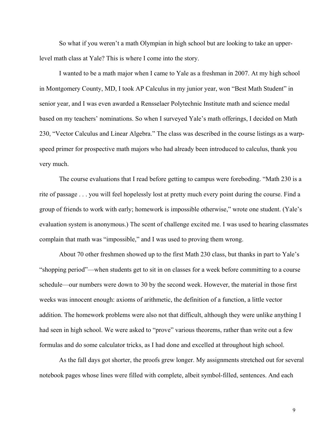So what if you weren't a math Olympian in high school but are looking to take an upperlevel math class at Yale? This is where I come into the story.

I wanted to be a math major when I came to Yale as a freshman in 2007. At my high school in Montgomery County, MD, I took AP Calculus in my junior year, won "Best Math Student" in senior year, and I was even awarded a Rensselaer Polytechnic Institute math and science medal based on my teachers' nominations. So when I surveyed Yale's math offerings, I decided on Math 230, "Vector Calculus and Linear Algebra." The class was described in the course listings as a warpspeed primer for prospective math majors who had already been introduced to calculus, thank you very much.

The course evaluations that I read before getting to campus were foreboding. "Math 230 is a rite of passage . . . you will feel hopelessly lost at pretty much every point during the course. Find a group of friends to work with early; homework is impossible otherwise," wrote one student. (Yale's evaluation system is anonymous.) The scent of challenge excited me. I was used to hearing classmates complain that math was "impossible," and I was used to proving them wrong.

About 70 other freshmen showed up to the first Math 230 class, but thanks in part to Yale's "shopping period"—when students get to sit in on classes for a week before committing to a course schedule—our numbers were down to 30 by the second week. However, the material in those first weeks was innocent enough: axioms of arithmetic, the definition of a function, a little vector addition. The homework problems were also not that difficult, although they were unlike anything I had seen in high school. We were asked to "prove" various theorems, rather than write out a few formulas and do some calculator tricks, as I had done and excelled at throughout high school.

As the fall days got shorter, the proofs grew longer. My assignments stretched out for several notebook pages whose lines were filled with complete, albeit symbol-filled, sentences. And each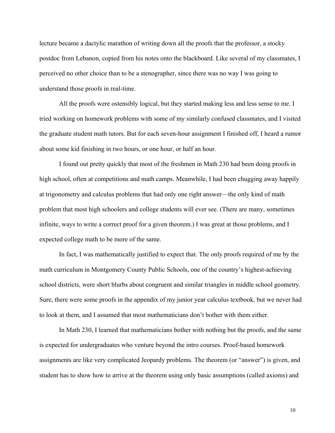lecture became a dactylic marathon of writing down all the proofs that the professor, a stocky postdoc from Lebanon, copied from his notes onto the blackboard. Like several of my classmates, I perceived no other choice than to be a stenographer, since there was no way I was going to understand those proofs in real-time.

All the proofs were ostensibly logical, but they started making less and less sense to me. I tried working on homework problems with some of my similarly confused classmates, and I visited the graduate student math tutors. But for each seven-hour assignment I finished off, I heard a rumor about some kid finishing in two hours, or one hour, or half an hour.

I found out pretty quickly that most of the freshmen in Math 230 had been doing proofs in high school, often at competitions and math camps. Meanwhile, I had been chugging away happily at trigonometry and calculus problems that had only one right answer—the only kind of math problem that most high schoolers and college students will ever see. (There are many, sometimes infinite, ways to write a correct proof for a given theorem.) I was great at those problems, and I expected college math to be more of the same.

In fact, I was mathematically justified to expect that. The only proofs required of me by the math curriculum in Montgomery County Public Schools, one of the country's highest-achieving school districts, were short blurbs about congruent and similar triangles in middle school geometry. Sure, there were some proofs in the appendix of my junior year calculus textbook, but we never had to look at them, and I assumed that most mathematicians don't bother with them either.

In Math 230, I learned that mathematicians bother with nothing but the proofs, and the same is expected for undergraduates who venture beyond the intro courses. Proof-based homework assignments are like very complicated Jeopardy problems. The theorem (or "answer") is given, and student has to show how to arrive at the theorem using only basic assumptions (called axioms) and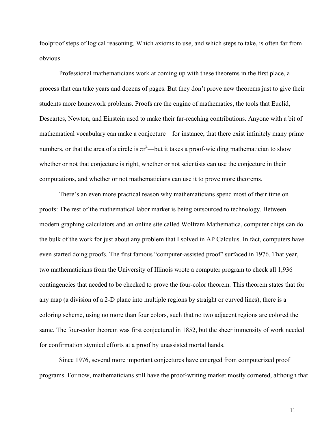foolproof steps of logical reasoning. Which axioms to use, and which steps to take, is often far from obvious.

Professional mathematicians work at coming up with these theorems in the first place, a process that can take years and dozens of pages. But they don't prove new theorems just to give their students more homework problems. Proofs are the engine of mathematics, the tools that Euclid, Descartes, Newton, and Einstein used to make their far-reaching contributions. Anyone with a bit of mathematical vocabulary can make a conjecture—for instance, that there exist infinitely many prime numbers, or that the area of a circle is  $\pi r^2$ —but it takes a proof-wielding mathematician to show whether or not that conjecture is right, whether or not scientists can use the conjecture in their computations, and whether or not mathematicians can use it to prove more theorems.

There's an even more practical reason why mathematicians spend most of their time on proofs: The rest of the mathematical labor market is being outsourced to technology. Between modern graphing calculators and an online site called Wolfram Mathematica, computer chips can do the bulk of the work for just about any problem that I solved in AP Calculus. In fact, computers have even started doing proofs. The first famous "computer-assisted proof" surfaced in 1976. That year, two mathematicians from the University of Illinois wrote a computer program to check all 1,936 contingencies that needed to be checked to prove the four-color theorem. This theorem states that for any map (a division of a 2-D plane into multiple regions by straight or curved lines), there is a coloring scheme, using no more than four colors, such that no two adjacent regions are colored the same. The four-color theorem was first conjectured in 1852, but the sheer immensity of work needed for confirmation stymied efforts at a proof by unassisted mortal hands.

Since 1976, several more important conjectures have emerged from computerized proof programs. For now, mathematicians still have the proof-writing market mostly cornered, although that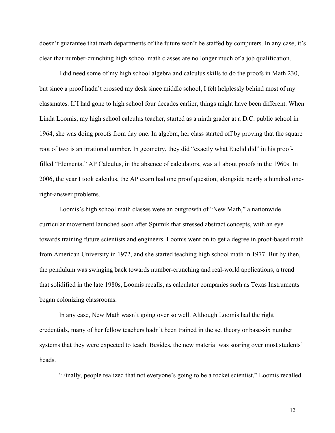doesn't guarantee that math departments of the future won't be staffed by computers. In any case, it's clear that number-crunching high school math classes are no longer much of a job qualification.

I did need some of my high school algebra and calculus skills to do the proofs in Math 230, but since a proof hadn't crossed my desk since middle school, I felt helplessly behind most of my classmates. If I had gone to high school four decades earlier, things might have been different. When Linda Loomis, my high school calculus teacher, started as a ninth grader at a D.C. public school in 1964, she was doing proofs from day one. In algebra, her class started off by proving that the square root of two is an irrational number. In geometry, they did "exactly what Euclid did" in his prooffilled "Elements." AP Calculus, in the absence of calculators, was all about proofs in the 1960s. In 2006, the year I took calculus, the AP exam had one proof question, alongside nearly a hundred oneright-answer problems.

Loomis's high school math classes were an outgrowth of "New Math," a nationwide curricular movement launched soon after Sputnik that stressed abstract concepts, with an eye towards training future scientists and engineers. Loomis went on to get a degree in proof-based math from American University in 1972, and she started teaching high school math in 1977. But by then, the pendulum was swinging back towards number-crunching and real-world applications, a trend that solidified in the late 1980s, Loomis recalls, as calculator companies such as Texas Instruments began colonizing classrooms.

In any case, New Math wasn't going over so well. Although Loomis had the right credentials, many of her fellow teachers hadn't been trained in the set theory or base-six number systems that they were expected to teach. Besides, the new material was soaring over most students' heads.

"Finally, people realized that not everyone's going to be a rocket scientist," Loomis recalled.

12 and 22 and 23 and 24 and 25 and 26 and 26 and 26 and 26 and 26 and 26 and 26 and 26 and 26 and 26 and 26 and 26 and 26 and 26 and 26 and 26 and 26 and 26 and 26 and 26 and 26 and 26 and 26 and 26 and 26 and 26 and 26 an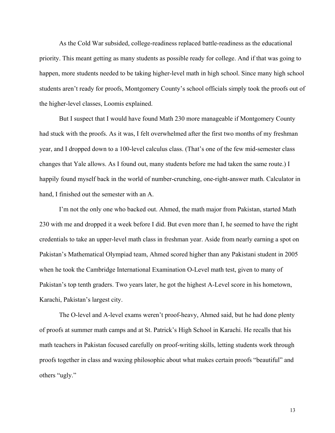As the Cold War subsided, college-readiness replaced battle-readiness as the educational priority. This meant getting as many students as possible ready for college. And if that was going to happen, more students needed to be taking higher-level math in high school. Since many high school students aren't ready for proofs, Montgomery County's school officials simply took the proofs out of the higher-level classes, Loomis explained.

But I suspect that I would have found Math 230 more manageable if Montgomery County had stuck with the proofs. As it was, I felt overwhelmed after the first two months of my freshman year, and I dropped down to a 100-level calculus class. (That's one of the few mid-semester class changes that Yale allows. As I found out, many students before me had taken the same route.) I happily found myself back in the world of number-crunching, one-right-answer math. Calculator in hand, I finished out the semester with an A.

I'm not the only one who backed out. Ahmed, the math major from Pakistan, started Math 230 with me and dropped it a week before I did. But even more than I, he seemed to have the right credentials to take an upper-level math class in freshman year. Aside from nearly earning a spot on Pakistan's Mathematical Olympiad team, Ahmed scored higher than any Pakistani student in 2005 when he took the Cambridge International Examination O-Level math test, given to many of Pakistan's top tenth graders. Two years later, he got the highest A-Level score in his hometown, Karachi, Pakistan's largest city.

The O-level and A-level exams weren't proof-heavy, Ahmed said, but he had done plenty of proofs at summer math camps and at St. Patrick's High School in Karachi. He recalls that his math teachers in Pakistan focused carefully on proof-writing skills, letting students work through proofs together in class and waxing philosophic about what makes certain proofs "beautiful" and others "ugly."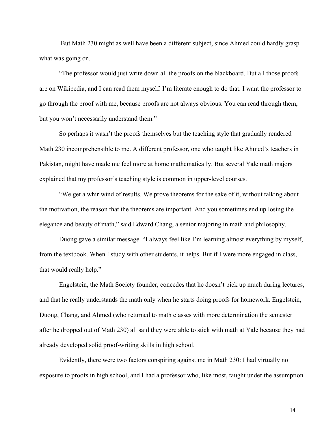But Math 230 might as well have been a different subject, since Ahmed could hardly grasp what was going on.

"The professor would just write down all the proofs on the blackboard. But all those proofs are on Wikipedia, and I can read them myself. I'm literate enough to do that. I want the professor to go through the proof with me, because proofs are not always obvious. You can read through them, but you won't necessarily understand them."

So perhaps it wasn't the proofs themselves but the teaching style that gradually rendered Math 230 incomprehensible to me. A different professor, one who taught like Ahmed's teachers in Pakistan, might have made me feel more at home mathematically. But several Yale math majors explained that my professor's teaching style is common in upper-level courses.

"We get a whirlwind of results. We prove theorems for the sake of it, without talking about the motivation, the reason that the theorems are important. And you sometimes end up losing the elegance and beauty of math," said Edward Chang, a senior majoring in math and philosophy.

Duong gave a similar message. "I always feel like I'm learning almost everything by myself, from the textbook. When I study with other students, it helps. But if I were more engaged in class, that would really help."

Engelstein, the Math Society founder, concedes that he doesn't pick up much during lectures, and that he really understands the math only when he starts doing proofs for homework. Engelstein, Duong, Chang, and Ahmed (who returned to math classes with more determination the semester after he dropped out of Math 230) all said they were able to stick with math at Yale because they had already developed solid proof-writing skills in high school.

 Evidently, there were two factors conspiring against me in Math 230: I had virtually no exposure to proofs in high school, and I had a professor who, like most, taught under the assumption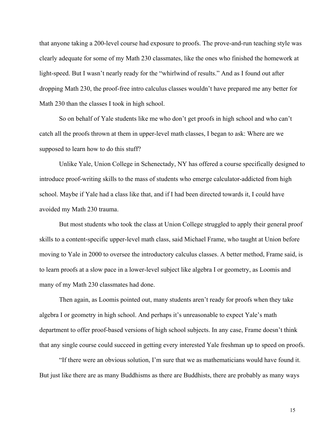that anyone taking a 200-level course had exposure to proofs. The prove-and-run teaching style was clearly adequate for some of my Math 230 classmates, like the ones who finished the homework at light-speed. But I wasn't nearly ready for the "whirlwind of results." And as I found out after dropping Math 230, the proof-free intro calculus classes wouldn't have prepared me any better for Math 230 than the classes I took in high school.

 So on behalf of Yale students like me who don't get proofs in high school and who can't catch all the proofs thrown at them in upper-level math classes, I began to ask: Where are we supposed to learn how to do this stuff?

 Unlike Yale, Union College in Schenectady, NY has offered a course specifically designed to introduce proof-writing skills to the mass of students who emerge calculator-addicted from high school. Maybe if Yale had a class like that, and if I had been directed towards it, I could have avoided my Math 230 trauma.

But most students who took the class at Union College struggled to apply their general proof skills to a content-specific upper-level math class, said Michael Frame, who taught at Union before moving to Yale in 2000 to oversee the introductory calculus classes. A better method, Frame said, is to learn proofs at a slow pace in a lower-level subject like algebra I or geometry, as Loomis and many of my Math 230 classmates had done.

 Then again, as Loomis pointed out, many students aren't ready for proofs when they take algebra I or geometry in high school. And perhaps it's unreasonable to expect Yale's math department to offer proof-based versions of high school subjects. In any case, Frame doesn't think that any single course could succeed in getting every interested Yale freshman up to speed on proofs.

 "If there were an obvious solution, I'm sure that we as mathematicians would have found it. But just like there are as many Buddhisms as there are Buddhists, there are probably as many ways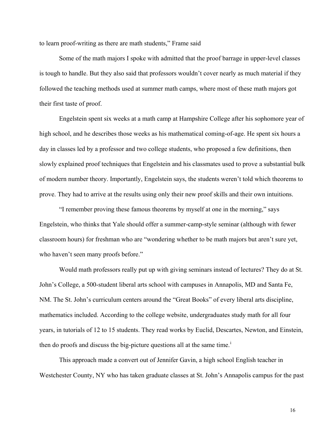to learn proof-writing as there are math students," Frame said

 Some of the math majors I spoke with admitted that the proof barrage in upper-level classes is tough to handle. But they also said that professors wouldn't cover nearly as much material if they followed the teaching methods used at summer math camps, where most of these math majors got their first taste of proof.

Engelstein spent six weeks at a math camp at Hampshire College after his sophomore year of high school, and he describes those weeks as his mathematical coming-of-age. He spent six hours a day in classes led by a professor and two college students, who proposed a few definitions, then slowly explained proof techniques that Engelstein and his classmates used to prove a substantial bulk of modern number theory. Importantly, Engelstein says, the students weren't told which theorems to prove. They had to arrive at the results using only their new proof skills and their own intuitions.

 "I remember proving these famous theorems by myself at one in the morning," says Engelstein, who thinks that Yale should offer a summer-camp-style seminar (although with fewer classroom hours) for freshman who are "wondering whether to be math majors but aren't sure yet, who haven't seen many proofs before."

 Would math professors really put up with giving seminars instead of lectures? They do at St. John's College, a 500-student liberal arts school with campuses in Annapolis, MD and Santa Fe, NM. The St. John's curriculum centers around the "Great Books" of every liberal arts discipline, mathematics included. According to the college website, undergraduates study math for all four years, in tutorials of 12 to 15 students. They read works by Euclid, Descartes, Newton, and Einstein, then do proofs and d[i](#page-21-0)scuss the big-picture questions all at the same time.<sup>1</sup>

 This approach made a convert out of Jennifer Gavin, a high school English teacher in Westchester County, NY who has taken graduate classes at St. John's Annapolis campus for the past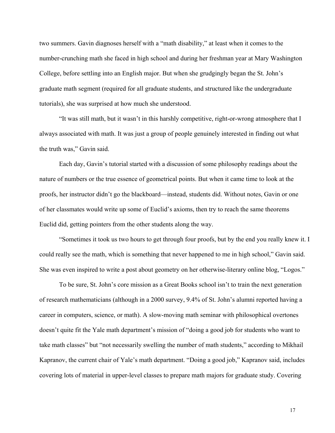two summers. Gavin diagnoses herself with a "math disability," at least when it comes to the number-crunching math she faced in high school and during her freshman year at Mary Washington College, before settling into an English major. But when she grudgingly began the St. John's graduate math segment (required for all graduate students, and structured like the undergraduate tutorials), she was surprised at how much she understood.

 "It was still math, but it wasn't in this harshly competitive, right-or-wrong atmosphere that I always associated with math. It was just a group of people genuinely interested in finding out what the truth was," Gavin said.

 Each day, Gavin's tutorial started with a discussion of some philosophy readings about the nature of numbers or the true essence of geometrical points. But when it came time to look at the proofs, her instructor didn't go the blackboard—instead, students did. Without notes, Gavin or one of her classmates would write up some of Euclid's axioms, then try to reach the same theorems Euclid did, getting pointers from the other students along the way.

 "Sometimes it took us two hours to get through four proofs, but by the end you really knew it. I could really see the math, which is something that never happened to me in high school," Gavin said. She was even inspired to write a post about geometry on her otherwise-literary online blog, "Logos."

 To be sure, St. John's core mission as a Great Books school isn't to train the next generation of research mathematicians (although in a 2000 survey, 9.4% of St. John's alumni reported having a career in computers, science, or math). A slow-moving math seminar with philosophical overtones doesn't quite fit the Yale math department's mission of "doing a good job for students who want to take math classes" but "not necessarily swelling the number of math students," according to Mikhail Kapranov, the current chair of Yale's math department. "Doing a good job," Kapranov said, includes covering lots of material in upper-level classes to prepare math majors for graduate study. Covering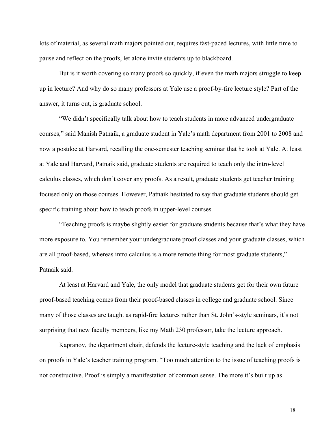lots of material, as several math majors pointed out, requires fast-paced lectures, with little time to pause and reflect on the proofs, let alone invite students up to blackboard.

 But is it worth covering so many proofs so quickly, if even the math majors struggle to keep up in lecture? And why do so many professors at Yale use a proof-by-fire lecture style? Part of the answer, it turns out, is graduate school.

 "We didn't specifically talk about how to teach students in more advanced undergraduate courses," said Manish Patnaik, a graduate student in Yale's math department from 2001 to 2008 and now a postdoc at Harvard, recalling the one-semester teaching seminar that he took at Yale. At least at Yale and Harvard, Patnaik said, graduate students are required to teach only the intro-level calculus classes, which don't cover any proofs. As a result, graduate students get teacher training focused only on those courses. However, Patnaik hesitated to say that graduate students should get specific training about how to teach proofs in upper-level courses.

 "Teaching proofs is maybe slightly easier for graduate students because that's what they have more exposure to. You remember your undergraduate proof classes and your graduate classes, which are all proof-based, whereas intro calculus is a more remote thing for most graduate students," Patnaik said.

 At least at Harvard and Yale, the only model that graduate students get for their own future proof-based teaching comes from their proof-based classes in college and graduate school. Since many of those classes are taught as rapid-fire lectures rather than St. John's-style seminars, it's not surprising that new faculty members, like my Math 230 professor, take the lecture approach.

 Kapranov, the department chair, defends the lecture-style teaching and the lack of emphasis on proofs in Yale's teacher training program. "Too much attention to the issue of teaching proofs is not constructive. Proof is simply a manifestation of common sense. The more it's built up as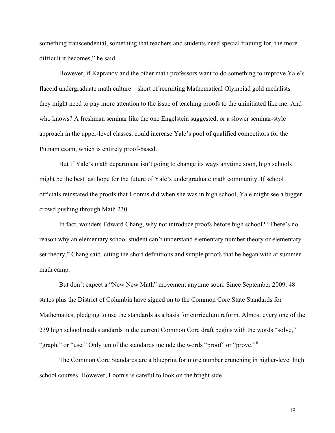something transcendental, something that teachers and students need special training for, the more difficult it becomes," he said.

 However, if Kapranov and the other math professors want to do something to improve Yale's flaccid undergraduate math culture—short of recruiting Mathematical Olympiad gold medalists they might need to pay more attention to the issue of teaching proofs to the uninitiated like me. And who knows? A freshman seminar like the one Engelstein suggested, or a slower seminar-style approach in the upper-level classes, could increase Yale's pool of qualified competitors for the Putnam exam, which is entirely proof-based.

But if Yale's math department isn't going to change its ways anytime soon, high schools might be the best last hope for the future of Yale's undergraduate math community. If school officials reinstated the proofs that Loomis did when she was in high school, Yale might see a bigger crowd pushing through Math 230.

 In fact, wonders Edward Chang, why not introduce proofs before high school? "There's no reason why an elementary school student can't understand elementary number theory or elementary set theory," Chang said, citing the short definitions and simple proofs that he began with at summer math camp.

 But don't expect a "New New Math" movement anytime soon. Since September 2009, 48 states plus the District of Columbia have signed on to the Common Core State Standards for Mathematics, pledging to use the standards as a basis for curriculum reform. Almost every one of the 239 high school math standards in the current Common Core draft begins with the words "solve," "graph," or "use." Only ten of the standards include the words "proof" or "prove."

 The Common Core Standards are a blueprint for more number crunching in higher-level high school courses. However, Loomis is careful to look on the bright side.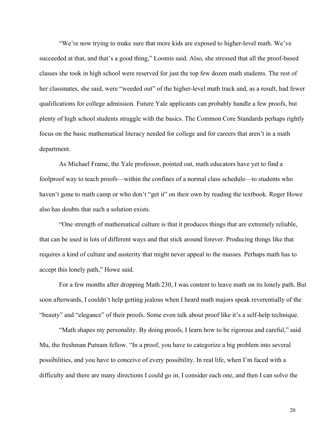"We're now trying to make sure that more kids are exposed to higher-level math. We've succeeded at that, and that's a good thing," Loomis said. Also, she stressed that all the proof-based classes she took in high school were reserved for just the top few dozen math students. The rest of her classmates, she said, were "weeded out" of the higher-level math track and, as a result, had fewer qualifications for college admission. Future Yale applicants can probably handle a few proofs, but plenty of high school students struggle with the basics. The Common Core Standards perhaps rightly focus on the basic mathematical literacy needed for college and for careers that aren't in a math department.

 As Michael Frame, the Yale professor, pointed out, math educators have yet to find a foolproof way to teach proofs—within the confines of a normal class schedule—to students who haven't gone to math camp or who don't "get it" on their own by reading the textbook. Roger Howe also has doubts that such a solution exists.

 "One strength of mathematical culture is that it produces things that are extremely reliable, that can be used in lots of different ways and that stick around forever. Producing things like that requires a kind of culture and austerity that might never appeal to the masses. Perhaps math has to accept this lonely path," Howe said.

 For a few months after dropping Math 230, I was content to leave math on its lonely path. But soon afterwards, I couldn't help getting jealous when I heard math majors speak reverentially of the "beauty" and "elegance" of their proofs. Some even talk about proof like it's a self-help technique.

 "Math shapes my personality. By doing proofs, I learn how to be rigorous and careful," said Mu, the freshman Putnam fellow. "In a proof, you have to categorize a big problem into several possibilities, and you have to conceive of every possibility. In real life, when I'm faced with a difficulty and there are many directions I could go in, I consider each one, and then I can solve the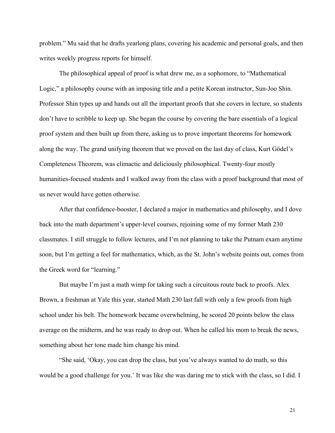problem." Mu said that he drafts yearlong plans, covering his academic and personal goals, and then writes weekly progress reports for himself.

 The philosophical appeal of proof is what drew me, as a sophomore, to "Mathematical Logic," a philosophy course with an imposing title and a petite Korean instructor, Sun-Joo Shin. Professor Shin types up and hands out all the important proofs that she covers in lecture, so students don't have to scribble to keep up. She began the course by covering the bare essentials of a logical proof system and then built up from there, asking us to prove important theorems for homework along the way. The grand unifying theorem that we proved on the last day of class, Kurt Gödel's Completeness Theorem, was climactic and deliciously philosophical. Twenty-four mostly humanities-focused students and I walked away from the class with a proof background that most of us never would have gotten otherwise.

 After that confidence-booster, I declared a major in mathematics and philosophy, and I dove back into the math department's upper-level courses, rejoining some of my former Math 230 classmates. I still struggle to follow lectures, and I'm not planning to take the Putnam exam anytime soon, but I'm getting a feel for mathematics, which, as the St. John's website points out, comes from the Greek word for "learning."

 But maybe I'm just a math wimp for taking such a circuitous route back to proofs. Alex Brown, a freshman at Yale this year, started Math 230 last fall with only a few proofs from high school under his belt. The homework became overwhelming, he scored 20 points below the class average on the midterm, and he was ready to drop out. When he called his mom to break the news, something about her tone made him change his mind.

 "She said, 'Okay, you can drop the class, but you've always wanted to do math, so this would be a good challenge for you.' It was like she was daring me to stick with the class, so I did. I